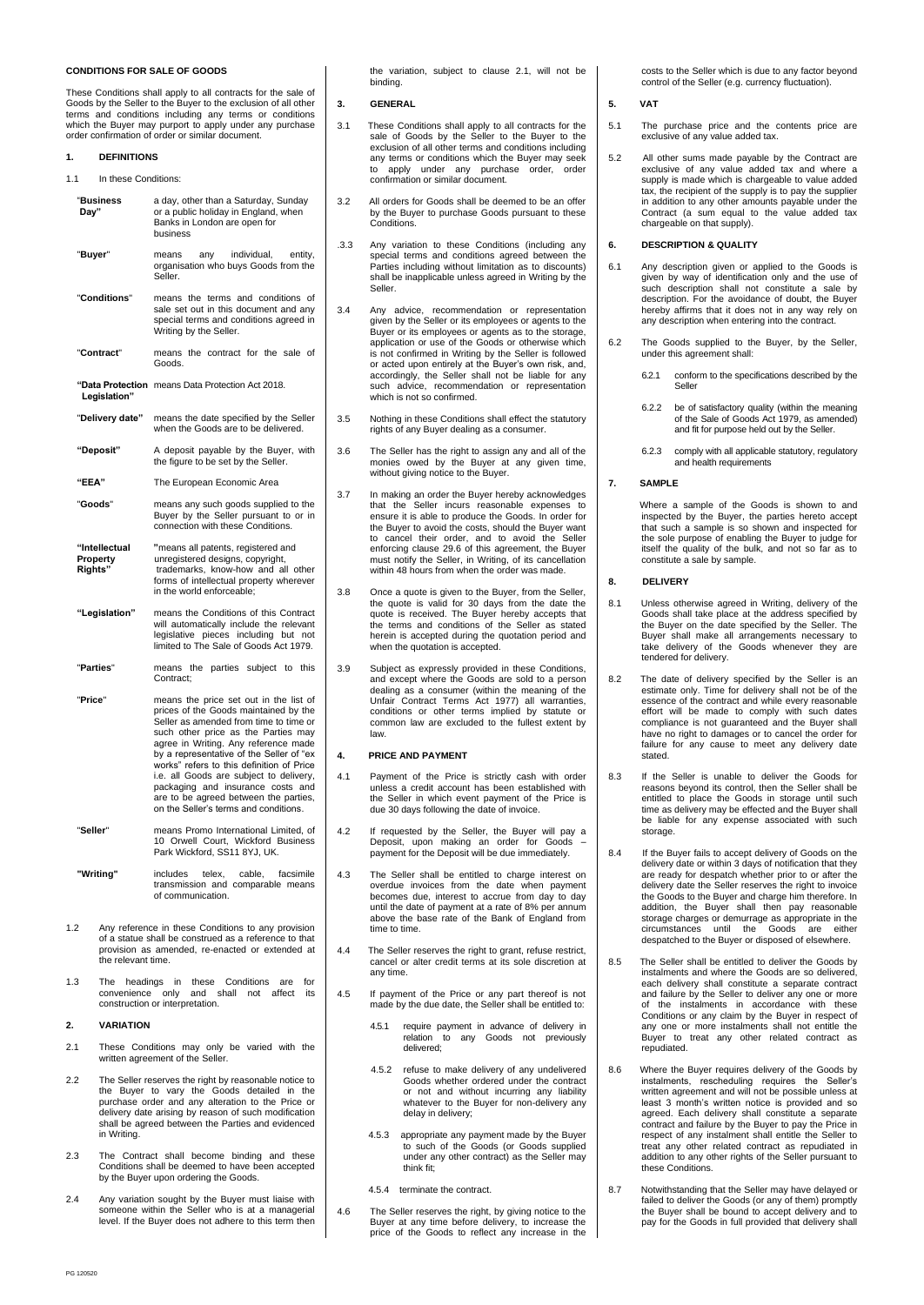# **CONDITIONS FOR SALE OF GOODS**

These Conditions shall apply to all contracts for the sale of Goods by the Seller to the Buyer to the exclusion of all other terms and conditions including any terms or conditions which the Buyer may purport to apply under any purchase order confirmation of order or similar document.

- **1. DEFINITIONS**
- 1.1 In these Conditions:
- "**Business** a day, other than a Saturday, Sunday **Day"** or a public holiday in England, when Banks in London are open for business "**Buyer**" means any individual, entity, organisation who buys Goods from the Seller. "**Conditions**" means the terms and conditions of sale set out in this document and any special terms and conditions agreed in Writing by the Seller. "**Contract**" means the contract for the sale of Goods. **"Data Protection** means Data Protection Act 2018.  **Legislation"** "**Delivery date"** means the date specified by the Seller when the Goods are to be delivered. **"Deposit"** A deposit payable by the Buyer, with the figure to be set by the Seller. **"EEA"** The European Economic Area "**Goods**" means any such goods supplied to the Buyer by the Seller pursuant to or in connection with these Conditions. "**Intellectual** "means all patents, registered and<br> **Property** unregistered designs, copyright,<br> **Rights**" trademarks, know-how and all only **Property** unregistered designs, copyright, **Rights"** trademarks, know-how and all other forms of intellectual property wherever in the world enforceable; **"Legislation"** means the Conditions of this Contract will automatically include the relevant legislative pieces including but not limited to The Sale of Goods Act 1979. "**Parties**" means the parties subject to this Contract; "**Price**" means the price set out in the list of prices of the Goods maintained by the Seller as amended from time to time or such other price as the Parties may agree in Writing. Any reference made by a representative of the Seller of "ex works" refers to this definition of Price i.e. all Goods are subject to delivery packaging and insurance costs and are to be agreed between the parties, on the Seller's terms and conditions. "**Seller**" means Promo International Limited, of 10 Orwell Court, Wickford Business Park Wickford, SS11 8YJ, UK. **"Writing"** includes telex, cable, facsimile transmission and comparable means of communication. 1.2 Any reference in these Conditions to any provision of a statue shall be construed as a reference to that provision as amended, re-enacted or extended at the relevant time. 1.3 The headings in these Conditions are for convenience only and shall not affect its construction or interpretation.

#### **2. VARIATION**

- 2.1 These Conditions may only be varied with the written agreement of the Seller.
- 2.2 The Seller reserves the right by reasonable notice to the Buyer to vary the Goods detailed in the purchase order and any alteration to the Price or delivery date arising by reason of such modification shall be agreed between the Parties and evidenced in Writing.
- 2.3 The Contract shall become binding and these Conditions shall be deemed to have been accepted by the Buyer upon ordering the Goods.
- 2.4 Any variation sought by the Buyer must liaise with someone within the Seller who is at a managerial level. If the Buyer does not adhere to this term then

the variation, subject to clause 2.1, will not be binding.

### **3. GENERAL**

- 3.1 These Conditions shall apply to all contracts for the sale of Goods by the Seller to the Buyer to the exclusion of all other terms and conditions including any terms or conditions which the Buyer may seek<br>to apply under any purchase order order apply under any purchase order, confirmation or similar document.
- 3.2 All orders for Goods shall be deemed to be an offer by the Buyer to purchase Goods pursuant to these **Conditions**
- .3.3 Any variation to these Conditions (including any special terms and conditions agreed between the Parties including without limitation as to discounts) shall be inapplicable unless agreed in Writing by the Seller.
- 3.4 Any advice, recommendation or representation given by the Seller or its employees or agents to the Buyer or its employees or agents as to the storage, application or use of the Goods or otherwise which is not confirmed in Writing by the Seller is followed or acted upon entirely at the Buyer's own risk, and, accordingly, the Seller shall not be liable for any such advice, recommendation or representation which is not so confirmed.
- 3.5 Nothing in these Conditions shall effect the statutory rights of any Buyer dealing as a consumer.
- 3.6 The Seller has the right to assign any and all of the monies owed by the Buyer at any given time, without giving notice to the Buyer.
- 3.7 In making an order the Buyer hereby acknowledges that the Seller incurs reasonable expenses to ensure it is able to produce the Goods. In order for the Buyer to avoid the costs, should the Buyer want to cancel their order, and to avoid the Seller enforcing clause 29.6 of this agreement, the Buyer must notify the Seller, in Writing, of its cancellation within 48 hours from when the order was made.
- 3.8 Once a quote is given to the Buyer, from the Seller, the quote is valid for 30 days from the date the quote is received. The Buyer hereby accepts that the terms and conditions of the Seller as stated herein is accepted during the quotation period and when the quotation is accepted.
- 3.9 Subject as expressly provided in these Conditions, and except where the Goods are sold to a person dealing as a consumer (within the meaning of the Unfair Contract Terms Act 1977) all warranties, conditions or other terms implied by statute or common law are excluded to the fullest extent by law.

#### **4. PRICE AND PAYMENT**

- 4.1 Payment of the Price is strictly cash with order unless a credit account has been established with the Seller in which event payment of the Price is due 30 days following the date of invoice.
- 4.2 If requested by the Seller, the Buyer will pay a Deposit, upon making an order for Goods payment for the Deposit will be due immediately.
- 4.3 The Seller shall be entitled to charge interest on overdue invoices from the date when payment becomes due, interest to accrue from day to day until the date of payment at a rate of 8% per annum above the base rate of the Bank of England from time to time.
- 4.4 The Seller reserves the right to grant, refuse restrict, cancel or alter credit terms at its sole discretion at any time.
- 4.5 If payment of the Price or any part thereof is not made by the due date, the Seller shall be entitled to:
	- 4.5.1 require payment in advance of delivery in relation to any Goods not previously delivered;
	- 4.5.2 refuse to make delivery of any undelivered Goods whether ordered under the contract or not and without incurring any liability whatever to the Buyer for non-delivery any delay in delivery;
- 4.5.3 appropriate any payment made by the Buyer to such of the Goods (or Goods supplied under any other contract) as the Seller may think fit;
	- 4.5.4 terminate the contract.
- 4.6 The Seller reserves the right, by giving notice to the Buyer at any time before delivery, to increase the price of the Goods to reflect any increase in the

costs to the Seller which is due to any factor beyond control of the Seller (e.g. currency fluctuation).

### **5. VAT**

- 5.1 The purchase price and the contents price are exclusive of any value added tax.
- 5.2 All other sums made payable by the Contract are exclusive of any value added tax and where a supply is made which is chargeable to value added tax, the recipient of the supply is to pay the supplier in addition to any other amounts payable under the Contract (a sum equal to the value added tax chargeable on that supply).

# **6. DESCRIPTION & QUALITY**

- 6.1 Any description given or applied to the Goods is given by way of identification only and the use of such description shall not constitute a sale by description. For the avoidance of doubt, the Buyer hereby affirms that it does not in any way rely on any description when entering into the contract.
- 6.2 The Goods supplied to the Buyer, by the Seller, under this agreement shall:
	- 6.2.1 conform to the specifications described by the Seller
	- 6.2.2 be of satisfactory quality (within the meaning of the Sale of Goods Act 1979, as amended) and fit for purpose held out by the Seller.
	- 6.2.3 comply with all applicable statutory, regulatory and health requirements

### **7. SAMPLE**

 Where a sample of the Goods is shown to and inspected by the Buyer, the parties hereto accept that such a sample is so shown and inspected for the sole purpose of enabling the Buyer to judge for itself the quality of the bulk, and not so far as to constitute a sale by sample.

#### **8. DELIVERY**

- 8.1 Unless otherwise agreed in Writing, delivery of the Goods shall take place at the address specified by the Buyer on the date specified by the Seller. The Buyer shall make all arrangements necessary to take delivery of the Goods whenever they are tendered for delivery.
- 8.2 The date of delivery specified by the Seller is an estimate only. Time for delivery shall not be of the essence of the contract and while every reasonable effort will be made to comply with such dates compliance is not guaranteed and the Buyer shall have no right to damages or to cancel the order for failure for any cause to meet any delivery date stated.
- 8.3 If the Seller is unable to deliver the Goods for reasons beyond its control, then the Seller shall be entitled to place the Goods in storage until such time as delivery may be effected and the Buyer shall be liable for any expense associated with such storage.
- 8.4 If the Buyer fails to accept delivery of Goods on the delivery date or within 3 days of notification that they are ready for despatch whether prior to or after the delivery date the Seller reserves the right to invoice the Goods to the Buyer and charge him therefore. In addition, the Buyer shall then pay reasonable storage charges or demurrage as appropriate in the circumstances until the Goods are either despatched to the Buyer or disposed of elsewhere.
- 8.5 The Seller shall be entitled to deliver the Goods by instalments and where the Goods are so delivered, each delivery shall constitute a separate contract and failure by the Seller to deliver any one or more of the instalments in accordance with these Conditions or any claim by the Buyer in respect of any one or more instalments shall not entitle the Buyer to treat any other related contract as repudiated.
- 8.6 Where the Buyer requires delivery of the Goods by instalments, rescheduling requires the Seller's written agreement and will not be possible unless at least 3 month's written notice is provided and so agreed. Each delivery shall constitute a separate contract and failure by the Buyer to pay the Price in respect of any instalment shall entitle the Seller to treat any other related contract as repudiated in addition to any other rights of the Seller pursuant to these Conditions.
- 8.7 Notwithstanding that the Seller may have delayed or failed to deliver the Goods (or any of them) promptly the Buyer shall be bound to accept delivery and to pay for the Goods in full provided that delivery shall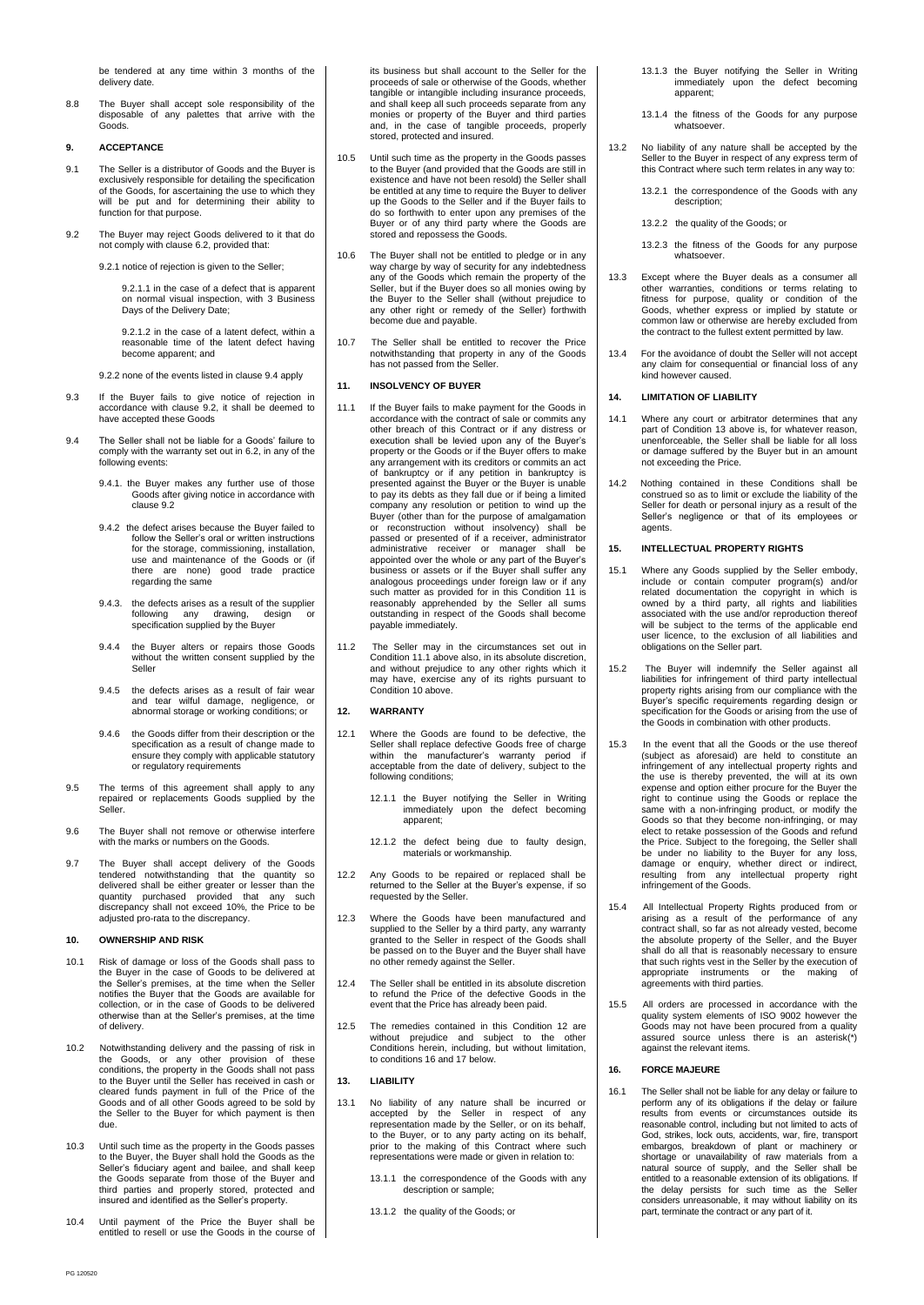be tendered at any time within 3 months of the delivery date

8.8 The Buyer shall accept sole responsibility of the disposable of any palettes that arrive with the Goods.

# **9. ACCEPTANCE**

- 9.1 The Seller is a distributor of Goods and the Buyer is exclusively responsible for detailing the specification of the Goods, for ascertaining the use to which they will be put and for determining their ability to function for that purpose.
- 9.2 The Buyer may reject Goods delivered to it that do not comply with clause 6.2, provided that:

9.2.1 notice of rejection is given to the Seller;

9.2.1.1 in the case of a defect that is apparent on normal visual inspection, with 3 Business Days of the Delivery Date;

9.2.1.2 in the case of a latent defect, within a reasonable time of the latent defect having become apparent; and

9.2.2 none of the events listed in clause 9.4 apply

- 9.3 If the Buyer fails to give notice of rejection in accordance with clause 9.2, it shall be deemed to have accepted these Goods
- 9.4 The Seller shall not be liable for a Goods' failure to comply with the warranty set out in 6.2, in any of the following events:
	- 9.4.1. the Buyer makes any further use of those Goods after giving notice in accordance with clause 9.2
	- 9.4.2 the defect arises because the Buyer failed to follow the Seller's oral or written instructions for the storage, commissioning, installation, use and maintenance of the Goods or (if there are none) good trade practice regarding the same
	- 9.4.3. the defects arises as a result of the supplier following any drawing, design or specification supplied by the Buyer
	- 9.4.4 the Buyer alters or repairs those Goods without the written consent supplied by the Seller
	- 9.4.5 the defects arises as a result of fair wear and tear wilful damage, negligence, or abnormal storage or working conditions; or
	- 9.4.6 the Goods differ from their description or the specification as a result of change made to ensure they comply with applicable statutory or regulatory requirements
- 9.5 The terms of this agreement shall apply to any repaired or replacements Goods supplied by the Seller.
- 9.6 The Buyer shall not remove or otherwise interfere with the marks or numbers on the Goods.
- 9.7 The Buyer shall accept delivery of the Goods tendered notwithstanding that the quantity so delivered shall be either greater or lesser than the quantity purchased provided that any such discrepancy shall not exceed 10%, the Price to be adjusted pro-rata to the discrepancy.

### **10. OWNERSHIP AND RISK**

- 10.1 Risk of damage or loss of the Goods shall pass to the Buyer in the case of Goods to be delivered at the Seller's premises, at the time when the Seller notifies the Buyer that the Goods are available for collection, or in the case of Goods to be delivered otherwise than at the Seller's premises, at the time of delivery.
- 10.2 Notwithstanding delivery and the passing of risk in the Goods, or any other provision of these conditions, the property in the Goods shall not pass to the Buyer until the Seller has received in cash or cleared funds payment in full of the Price of the Goods and of all other Goods agreed to be sold by the Seller to the Buyer for which payment is then due.
- 10.3 Until such time as the property in the Goods passes to the Buyer, the Buyer shall hold the Goods as the Seller's fiduciary agent and bailee, and shall keep the Goods separate from those of the Buyer and third parties and properly stored, protected and insured and identified as the Seller's property.
- 10.4 Until payment of the Price the Buyer shall be entitled to resell or use the Goods in the course of

its business but shall account to the Seller for the proceeds of sale or otherwise of the Goods, whether tangible or intangible including insurance proceeds, shall keep all such proceeds separate from any monies or property of the Buyer and third parties and, in the case of tangible proceeds, properly stored, protected and insured.

- 10.5 Until such time as the property in the Goods passes to the Buyer (and provided that the Goods are still in existence and have not been resold) the Seller shall be entitled at any time to require the Buyer to deliver up the Goods to the Seller and if the Buyer fails to do so forthwith to enter upon any premises of the Buyer or of any third party where the Goods are stored and repossess the Goods.
- 10.6 The Buyer shall not be entitled to pledge or in any way charge by way of security for any indebtedness any of the Goods which remain the property of the Seller, but if the Buyer does so all monies owing by the Buyer to the Seller shall (without prejudice to any other right or remedy of the Seller) forthwith become due and payable.
- 10.7 The Seller shall be entitled to recover the Price notwithstanding that property in any of the Goods has not passed from the Seller.

### **11. INSOLVENCY OF BUYER**

- 11.1 If the Buyer fails to make payment for the Goods in accordance with the contract of sale or commits any other breach of this Contract or if any distress or execution shall be levied upon any of the Buyer's property or the Goods or if the Buyer offers to make any arrangement with its creditors or commits an act of bankruptcy or if any petition in bankruptcy is presented against the Buyer or the Buyer is unable to pay its debts as they fall due or if being a limited company any resolution or petition to wind up the Buyer (other than for the purpose of amalgamation or reconstruction without insolvency) shall be passed or presented of if a receiver, administrator administrative receiver or manager shall be appointed over the whole or any part of the Buyer's business or assets or if the Buyer shall suffer any analogous proceedings under foreign law or if any such matter as provided for in this Condition 11 is reasonably apprehended by the Seller all sums outstanding in respect of the Goods shall become payable immediately.
- 11.2 The Seller may in the circumstances set out in Condition 11.1 above also, in its absolute discretion, and without prejudice to any other rights which it may have, exercise any of its rights pursuant to Condition 10 above.

### **12. WARRANTY**

- 12.1 Where the Goods are found to be defective, the Seller shall replace defective Goods free of charge within the manufacturer's warranty period if acceptable from the date of delivery, subject to the following conditions;
	- 12.1.1 the Buyer notifying the Seller in Writing immediately upon the defect becoming apparent;
	- 12.1.2 the defect being due to faulty design, materials or workmanship.
- 12.2 Any Goods to be repaired or replaced shall be returned to the Seller at the Buyer's expense, if so requested by the Seller.
- 12.3 Where the Goods have been manufactured and supplied to the Seller by a third party, any warranty granted to the Seller in respect of the Goods shall be passed on to the Buyer and the Buyer shall have no other remedy against the Seller.
- The Seller shall be entitled in its absolute discretion to refund the Price of the defective Goods in the event that the Price has already been paid.
- 12.5 The remedies contained in this Condition 12 are without prejudice and subject to the other Conditions herein, including, but without limitation, to conditions 16 and 17 below.

#### **13. LIABILITY**

- 13.1 No liability of any nature shall be incurred or accepted by the Seller in respect of any representation made by the Seller, or on its behalf, to the Buyer, or to any party acting on its behalf, prior to the making of this Contract where such representations were made or given in relation to:
	- 13.1.1 the correspondence of the Goods with any description or sample;
	- 13.1.2 the quality of the Goods; or
- 13.1.3 the Buyer notifying the Seller in Writing immediately upon the defect becoming apparent;
- 13.1.4 the fitness of the Goods for any purpose whatsoever.
- 13.2 No liability of any nature shall be accepted by the Seller to the Buyer in respect of any express term of this Contract where such term relates in any way to:
	- 13.2.1 the correspondence of the Goods with any description;
	- 13.2.2 the quality of the Goods; or
	- 13.2.3 the fitness of the Goods for any purpose whatsoever.
- 13.3 Except where the Buyer deals as a consumer all other warranties, conditions or terms relating to fitness for purpose, quality or condition of the Goods, whether express or implied by statute or common law or otherwise are hereby excluded from the contract to the fullest extent permitted by law.
- 13.4 For the avoidance of doubt the Seller will not accept any claim for consequential or financial loss of any kind however caused.

# **14. LIMITATION OF LIABILITY**

- 14.1 Where any court or arbitrator determines that any part of Condition 13 above is, for whatever reason, unenforceable, the Seller shall be liable for all loss or damage suffered by the Buyer but in an amount not exceeding the Price.
- 14.2 Nothing contained in these Conditions shall be construed so as to limit or exclude the liability of the Seller for death or personal injury as a result of the Seller's negligence or that of its employees or agents.

### **15. INTELLECTUAL PROPERTY RIGHTS**

- 15.1 Where any Goods supplied by the Seller embody, include or contain computer program(s) and/or related documentation the copyright in which is owned by a third party, all rights and liabilities associated with the use and/or reproduction thereof will be subject to the terms of the applicable end user licence, to the exclusion of all liabilities and obligations on the Seller part.
- 15.2 The Buyer will indemnify the Seller against all liabilities for infringement of third party intellectual property rights arising from our compliance with the Buyer's specific requirements regarding design or specification for the Goods or arising from the use of the Goods in combination with other products.
- 15.3 In the event that all the Goods or the use thereof (subject as aforesaid) are held to constitute an infringement of any intellectual property rights and the use is thereby prevented, the will at its own expense and option either procure for the Buyer the right to continue using the Goods or replace the same with a non-infringing product, or modify the Goods so that they become non-infringing, or may elect to retake possession of the Goods and refund the Price. Subject to the foregoing, the Seller shall be under no liability to the Buyer for any loss, damage or enquiry, whether direct or indirect, resulting from any intellectual property right infringement of the Goods.
- 15.4 All Intellectual Property Rights produced from or arising as a result of the performance of any contract shall, so far as not already vested, become the absolute property of the Seller, and the Buyer shall do all that is reasonably necessary to ensure that such rights vest in the Seller by the execution of appropriate instruments or the making of agreements with third parties.
- 15.5 All orders are processed in accordance with the quality system elements of ISO 9002 however the Goods may not have been procured from a quality assured source unless there is an asterisk(\*) against the relevant items.

#### **16. FORCE MAJEURE**

16.1 The Seller shall not be liable for any delay or failure to perform any of its obligations if the delay or failure results from events or circumstances outside its reasonable control, including but not limited to acts of God, strikes, lock outs, accidents, war, fire, transport embargos, breakdown of plant or machinery or shortage or unavailability of raw materials from a natural source of supply, and the Seller shall be entitled to a reasonable extension of its obligations. If the delay persists for such time as the Seller considers unreasonable, it may without liability on its part, terminate the contract or any part of it.